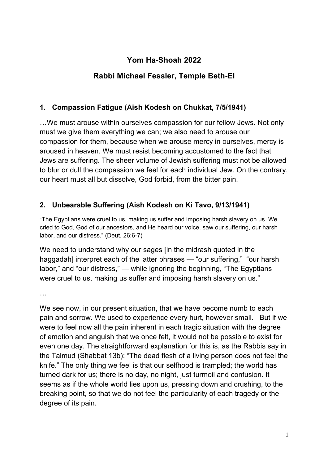# **Yom Ha-Shoah 2022**

# **Rabbi Michael Fessler, Temple Beth-El**

### **1. Compassion Fatigue (Aish Kodesh on Chukkat, 7/5/1941)**

…We must arouse within ourselves compassion for our fellow Jews. Not only must we give them everything we can; we also need to arouse our compassion for them, because when we arouse mercy in ourselves, mercy is aroused in heaven. We must resist becoming accustomed to the fact that Jews are suffering. The sheer volume of Jewish suffering must not be allowed to blur or dull the compassion we feel for each individual Jew. On the contrary, our heart must all but dissolve, God forbid, from the bitter pain.

#### **2. Unbearable Suffering (Aish Kodesh on Ki Tavo, 9/13/1941)**

"The Egyptians were cruel to us, making us suffer and imposing harsh slavery on us. We cried to God, God of our ancestors, and He heard our voice, saw our suffering, our harsh labor, and our distress." (Deut. 26:6-7)

We need to understand why our sages (in the midrash quoted in the haggadah] interpret each of the latter phrases — "our suffering," "our harsh labor," and "our distress," — while ignoring the beginning, "The Egyptians were cruel to us, making us suffer and imposing harsh slavery on us."

…

We see now, in our present situation, that we have become numb to each pain and sorrow. We used to experience every hurt, however small. But if we were to feel now all the pain inherent in each tragic situation with the degree of emotion and anguish that we once felt, it would not be possible to exist for even one day. The straightforward explanation for this is, as the Rabbis say in the Talmud (Shabbat 13b): "The dead flesh of a living person does not feel the knife." The only thing we feel is that our selfhood is trampled; the world has turned dark for us; there is no day, no night, just turmoil and confusion. It seems as if the whole world lies upon us, pressing down and crushing, to the breaking point, so that we do not feel the particularity of each tragedy or the degree of its pain.